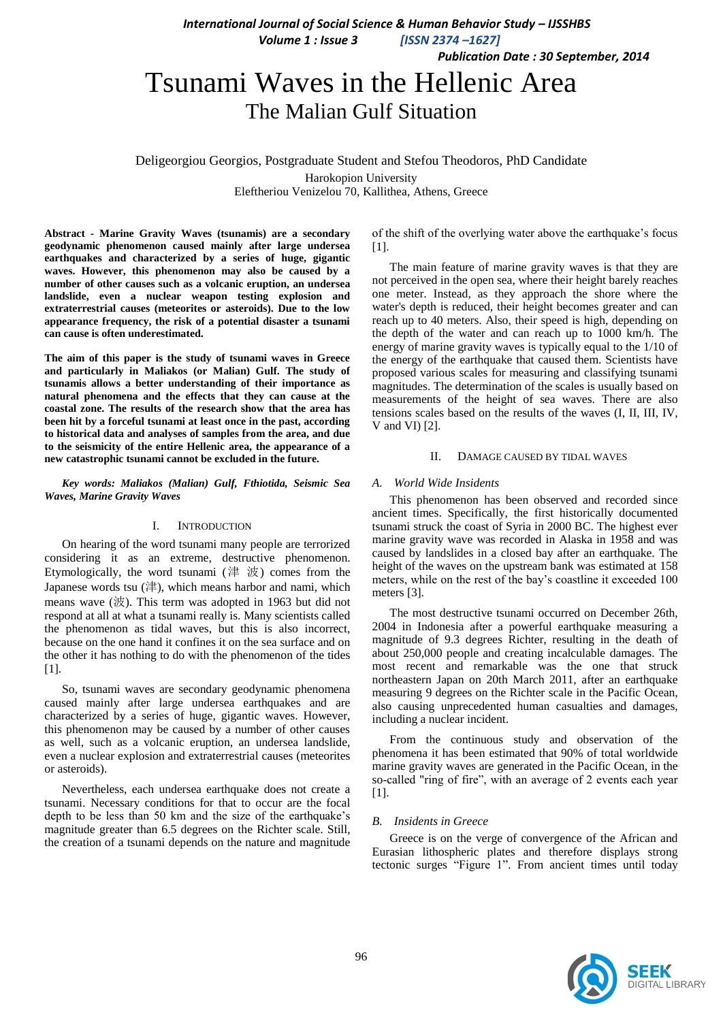*International Journal of Social Science & Human Behavior Study – IJSSHBS*

 *Volume 1 : Issue 3 [ISSN 2374 –1627]*

 *Publication Date : 30 September, 2014*

## Tsunami Waves in the Hellenic Area The Malian Gulf Situation

Deligeorgiou Georgios, Postgraduate Student and Stefou Theodoros, PhD Candidate Harokopion University Eleftheriou Venizelou 70, Kallithea, Athens, Greece

**Abstract - Marine Gravity Waves (tsunamis) are a secondary geodynamic phenomenon caused mainly after large undersea earthquakes and characterized by a series of huge, gigantic waves. However, this phenomenon may also be caused by a number of other causes such as a volcanic eruption, an undersea landslide, even a nuclear weapon testing explosion and extraterrestrial causes (meteorites or asteroids). Due to the low appearance frequency, the risk of a potential disaster a tsunami can cause is often underestimated.**

**The aim of this paper is the study of tsunami waves in Greece and particularly in Maliakos (or Malian) Gulf. The study of tsunamis allows a better understanding of their importance as natural phenomena and the effects that they can cause at the coastal zone. The results of the research show that the area has been hit by a forceful tsunami at least once in the past, according to historical data and analyses of samples from the area, and due to the seismicity of the entire Hellenic area, the appearance of a new catastrophic tsunami cannot be excluded in the future.**

*Key words: Maliakos (Malian) Gulf, Fthiotida, Seismic Sea Waves, Marine Gravity Waves*

### I. INTRODUCTION

On hearing of the word tsunami many people are terrorized considering it as an extreme, destructive phenomenon. Etymologically, the word tsunami  $($ 津 波) comes from the Japanese words tsu (津), which means harbor and nami, which means wave  $(\n $\n\infty$ ). This term was adopted in 1963 but did not$ respond at all at what a tsunami really is. Many scientists called the phenomenon as tidal waves, but this is also incorrect, because on the one hand it confines it on the sea surface and on the other it has nothing to do with the phenomenon of the tides [1].

So, tsunami waves are secondary geodynamic phenomena caused mainly after large undersea earthquakes and are characterized by a series of huge, gigantic waves. However, this phenomenon may be caused by a number of other causes as well, such as a volcanic eruption, an undersea landslide, even a nuclear explosion and extraterrestrial causes (meteorites or asteroids).

Nevertheless, each undersea earthquake does not create a tsunami. Necessary conditions for that to occur are the focal depth to be less than 50 km and the size of the earthquake's magnitude greater than 6.5 degrees on the Richter scale. Still, the creation of a tsunami depends on the nature and magnitude of the shift of the overlying water above the earthquake's focus [1].

The main feature of marine gravity waves is that they are not perceived in the open sea, where their height barely reaches one meter. Instead, as they approach the shore where the water's depth is reduced, their height becomes greater and can reach up to 40 meters. Also, their speed is high, depending on the depth of the water and can reach up to 1000 km/h. The energy of marine gravity waves is typically equal to the 1/10 of the energy of the earthquake that caused them. Scientists have proposed various scales for measuring and classifying tsunami magnitudes. The determination of the scales is usually based on measurements of the height of sea waves. There are also tensions scales based on the results of the waves (I, II, III, IV, V and VI) [2].

## II. DAMAGE CAUSED BY TIDAL WAVES

## *A. World Wide Insidents*

This phenomenon has been observed and recorded since ancient times. Specifically, the first historically documented tsunami struck the coast of Syria in 2000 BC. The highest ever marine gravity wave was recorded in Alaska in 1958 and was caused by landslides in a closed bay after an earthquake. The height of the waves on the upstream bank was estimated at 158 meters, while on the rest of the bay's coastline it exceeded 100 meters [3].

The most destructive tsunami occurred on December 26th, 2004 in Indonesia after a powerful earthquake measuring a magnitude of 9.3 degrees Richter, resulting in the death of about 250,000 people and creating incalculable damages. The most recent and remarkable was the one that struck northeastern Japan on 20th March 2011, after an earthquake measuring 9 degrees on the Richter scale in the Pacific Ocean, also causing unprecedented human casualties and damages, including a nuclear incident.

From the continuous study and observation of the phenomena it has been estimated that 90% of total worldwide marine gravity waves are generated in the Pacific Ocean, in the so-called "ring of fire", with an average of 2 events each year [1].

## *B. Insidents in Greece*

Greece is on the verge of convergence of the African and Eurasian lithospheric plates and therefore displays strong tectonic surges "Figure 1". From ancient times until today

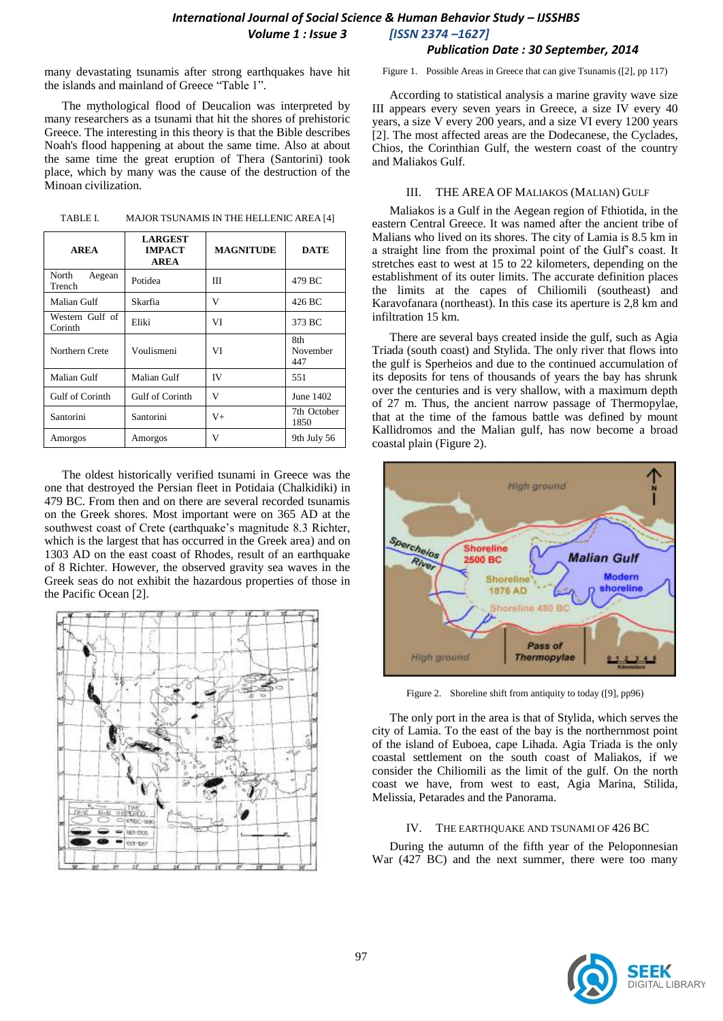## *International Journal of Social Science & Human Behavior Study – IJSSHBS Volume 1 : Issue 3 [ISSN 2374 –1627] Publication Date : 30 September, 2014*

many devastating tsunamis after strong earthquakes have hit the islands and mainland of Greece "Table 1".

The mythological flood of Deucalion was interpreted by many researchers as a tsunami that hit the shores of prehistoric Greece. The interesting in this theory is that the Bible describes Noah's flood happening at about the same time. Also at about the same time the great eruption of Thera (Santorini) took place, which by many was the cause of the destruction of the Minoan civilization.

| TABLE I. | MAJOR TSUNAMIS IN THE HELLENIC AREA [4] |  |
|----------|-----------------------------------------|--|
|          |                                         |  |

| <b>AREA</b>                | <b>LARGEST</b><br><b>IMPACT</b><br><b>AREA</b> | <b>MAGNITUDE</b> | <b>DATE</b>            |
|----------------------------|------------------------------------------------|------------------|------------------------|
| North<br>Aegean<br>Trench  | Potidea                                        | Ш                | 479 BC                 |
| Malian Gulf                | Skarfia                                        | v                | 426 BC                 |
| Western Gulf of<br>Corinth | Eliki                                          | VI               | 373 BC                 |
| Northern Crete             | Voulismeni                                     | VI               | 8th<br>November<br>447 |
| Malian Gulf                | Malian Gulf                                    | IV               | 551                    |
| Gulf of Corinth            | Gulf of Corinth                                | v                | June 1402              |
| Santorini                  | Santorini                                      | $V_{+}$          | 7th October<br>1850    |
| Amorgos                    | Amorgos                                        | v                | 9th July 56            |

The oldest historically verified tsunami in Greece was the one that destroyed the Persian fleet in Potidaia (Chalkidiki) in 479 BC. From then and on there are several recorded tsunamis on the Greek shores. Most important were on 365 AD at the southwest coast of Crete (earthquake's magnitude 8.3 Richter, which is the largest that has occurred in the Greek area) and on 1303 AD on the east coast of Rhodes, result of an earthquake of 8 Richter. However, the observed gravity sea waves in the Greek seas do not exhibit the hazardous properties of those in the Pacific Ocean [2].



Figure 1. Possible Areas in Greece that can give Tsunamis ([2], pp 117)

According to statistical analysis a marine gravity wave size III appears every seven years in Greece, a size IV every 40 years, a size V every 200 years, and a size VI every 1200 years [2]. The most affected areas are the Dodecanese, the Cyclades, Chios, the Corinthian Gulf, the western coast of the country and Maliakos Gulf.

## III. THE AREA OF MALIAKOS (MALIAN) GULF

Maliakos is a Gulf in the Aegean region of Fthiotida, in the eastern Central Greece. It was named after the ancient tribe of Malians who lived on its shores. The city of Lamia is 8.5 km in a straight line from the proximal point of the Gulf's coast. It stretches east to west at 15 to 22 kilometers, depending on the establishment of its outer limits. The accurate definition places the limits at the capes of Chiliomili (southeast) and Karavofanara (northeast). In this case its aperture is 2,8 km and infiltration 15 km.

There are several bays created inside the gulf, such as Agia Triada (south coast) and Stylida. The only river that flows into the gulf is Sperheios and due to the continued accumulation of its deposits for tens of thousands of years the bay has shrunk over the centuries and is very shallow, with a maximum depth of 27 m. Thus, the ancient narrow passage of Thermopylae, that at the time of the famous battle was defined by mount Kallidromos and the Malian gulf, has now become a broad coastal plain (Figure 2).



Figure 2. Shoreline shift from antiquity to today ([9], pp96)

The only port in the area is that of Stylida, which serves the city of Lamia. To the east of the bay is the northernmost point of the island of Euboea, cape Lihada. Agia Triada is the only coastal settlement on the south coast of Maliakos, if we consider the Chiliomili as the limit of the gulf. On the north coast we have, from west to east, Agia Marina, Stilida, Melissia, Petarades and the Panorama.

## IV. THE EARTHQUAKE AND TSUNAMI OF 426 BC

During the autumn of the fifth year of the Peloponnesian War (427 BC) and the next summer, there were too many

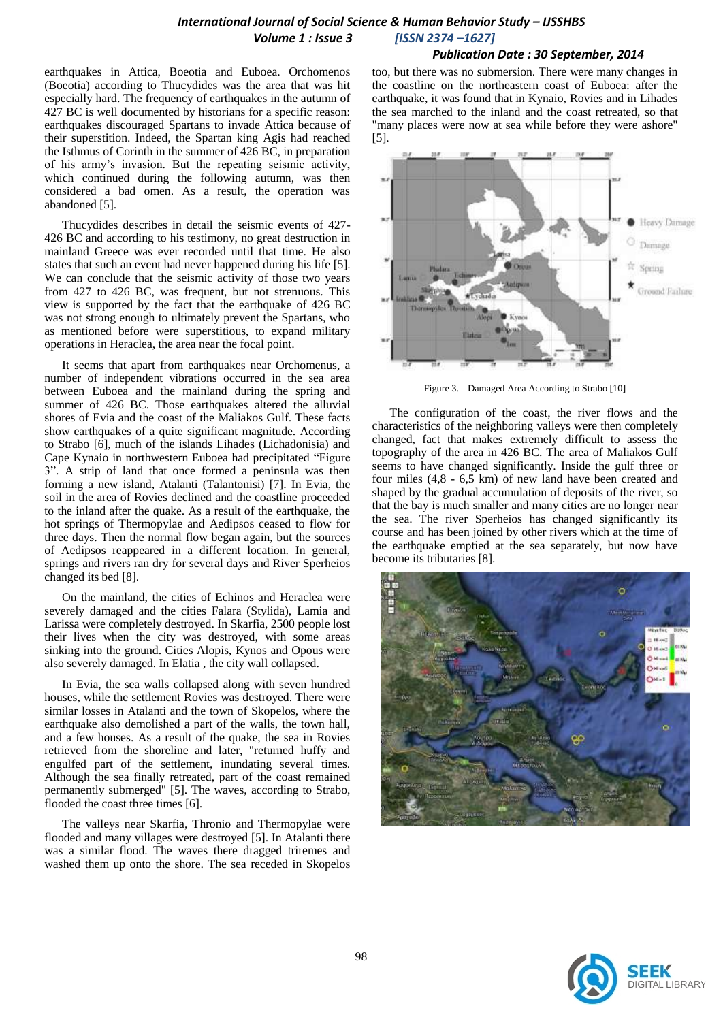## *International Journal of Social Science & Human Behavior Study – IJSSHBS Volume 1 : Issue 3 [ISSN 2374 –1627]*

### *Publication Date : 30 September, 2014*

earthquakes in Attica, Boeotia and Euboea. Orchomenos (Boeotia) according to Thucydides was the area that was hit especially hard. The frequency of earthquakes in the autumn of 427 BC is well documented by historians for a specific reason: earthquakes discouraged Spartans to invade Attica because of their superstition. Indeed, the Spartan king Agis had reached the Isthmus of Corinth in the summer of 426 BC, in preparation of his army's invasion. But the repeating seismic activity, which continued during the following autumn, was then considered a bad omen. As a result, the operation was abandoned [5].

Thucydides describes in detail the seismic events of 427- 426 BC and according to his testimony, no great destruction in mainland Greece was ever recorded until that time. He also states that such an event had never happened during his life [5]. We can conclude that the seismic activity of those two years from 427 to 426 BC, was frequent, but not strenuous. This view is supported by the fact that the earthquake of 426 BC was not strong enough to ultimately prevent the Spartans, who as mentioned before were superstitious, to expand military operations in Heraclea, the area near the focal point.

It seems that apart from earthquakes near Orchomenus, a number of independent vibrations occurred in the sea area between Euboea and the mainland during the spring and summer of 426 BC. Those earthquakes altered the alluvial shores of Evia and the coast of the Maliakos Gulf. These facts show earthquakes of a quite significant magnitude. According to Strabo [6], much of the islands Lihades (Lichadonisia) and Cape Kynaio in northwestern Euboea had precipitated "Figure 3". A strip of land that once formed a peninsula was then forming a new island, Atalanti (Talantonisi) [7]. In Evia, the soil in the area of Rovies declined and the coastline proceeded to the inland after the quake. As a result of the earthquake, the hot springs of Thermopylae and Aedipsos ceased to flow for three days. Then the normal flow began again, but the sources of Aedipsos reappeared in a different location. In general, springs and rivers ran dry for several days and River Sperheios changed its bed [8].

On the mainland, the cities of Echinos and Heraclea were severely damaged and the cities Falara (Stylida), Lamia and Larissa were completely destroyed. In Skarfia, 2500 people lost their lives when the city was destroyed, with some areas sinking into the ground. Cities Alopis, Kynos and Opous were also severely damaged. In Elatia , the city wall collapsed.

In Evia, the sea walls collapsed along with seven hundred houses, while the settlement Rovies was destroyed. There were similar losses in Atalanti and the town of Skopelos, where the earthquake also demolished a part of the walls, the town hall, and a few houses. As a result of the quake, the sea in Rovies retrieved from the shoreline and later, "returned huffy and engulfed part of the settlement, inundating several times. Although the sea finally retreated, part of the coast remained permanently submerged" [5]. The waves, according to Strabo, flooded the coast three times [6].

The valleys near Skarfia, Thronio and Thermopylae were flooded and many villages were destroyed [5]. In Atalanti there was a similar flood. The waves there dragged triremes and washed them up onto the shore. The sea receded in Skopelos

too, but there was no submersion. There were many changes in the coastline on the northeastern coast of Euboea: after the earthquake, it was found that in Kynaio, Rovies and in Lihades the sea marched to the inland and the coast retreated, so that "many places were now at sea while before they were ashore" [5].



Figure 3. Damaged Area According to Strabo [10]

The configuration of the coast, the river flows and the characteristics of the neighboring valleys were then completely changed, fact that makes extremely difficult to assess the topography of the area in 426 BC. The area of Maliakos Gulf seems to have changed significantly. Inside the gulf three or four miles (4,8 - 6,5 km) of new land have been created and shaped by the gradual accumulation of deposits of the river, so that the bay is much smaller and many cities are no longer near the sea. The river Sperheios has changed significantly its course and has been joined by other rivers which at the time of the earthquake emptied at the sea separately, but now have become its tributaries [8].